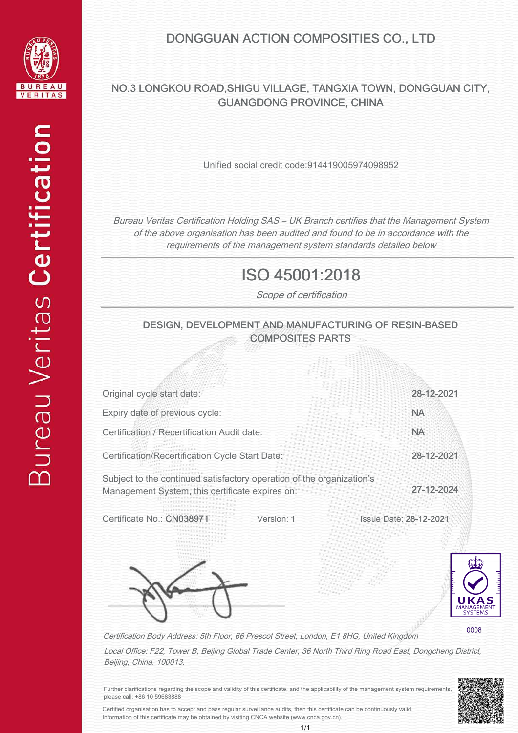

### DONGGUAN ACTION COMPOSITIES CO., LTD

### NO.3 LONGKOU ROAD,SHIGU VILLAGE, TANGXIA TOWN, DONGGUAN CITY, GUANGDONG PROVINCE, CHINA

Unified social credit code:914419005974098952

Bureau Veritas Certification Holding SAS – UK Branch certifies that the Management System of the above organisation has been audited and found to be in accordance with the requirements of the management system standards detailed below

# ISO 45001:2018

Scope of certification

#### DESIGN, DEVELOPMENT AND MANUFACTURING OF RESIN-BASED COMPOSITES PARTS

| Original cycle start date:                                                                                               | 28-12-2021                                                                   |
|--------------------------------------------------------------------------------------------------------------------------|------------------------------------------------------------------------------|
| Expiry date of previous cycle:                                                                                           | <b>NA</b>                                                                    |
| Certification / Recertification Audit date:                                                                              | <b>NA</b>                                                                    |
| Certification/Recertification Cycle Start Date:                                                                          | 28-12-2021                                                                   |
| Subject to the continued satisfactory operation of the organization's<br>Management System, this certificate expires on: | 27-12-2024                                                                   |
| Certificate No.: CN038<br>Version: 1                                                                                     | <b>Issue Date: 28-12-2021</b><br>FEE<br>UKAS<br>MANAGEMENT<br><b>SYSTEMS</b> |
| Cortification Pody Address: 5th Elear, 66 Dresset Street Landen, E1 040, United Kingdom                                  | 0008                                                                         |

Certification Body Address: 5th Floor, 66 Prescot Street, London, E1 8HG, United Kingdom

Local Office: F22, Tower B, Beijing Global Trade Center, 36 North Third Ring Road East, Dongcheng District, Beijing, China. 100013.

> j ļ  $\frac{1}{2}$  $\ddot{\phantom{0}}$ j j Í

Further clarifications regarding the scope and validity of this certificate, and the applicability of the management system requirements, please call: +86 10 59683888

Certified organisation has to accept and pass regular surveillance audits, then this certificate can be continuously valid. Information of this certificate may be obtained by visiting CNCA website (www.cnca.gov.cn).